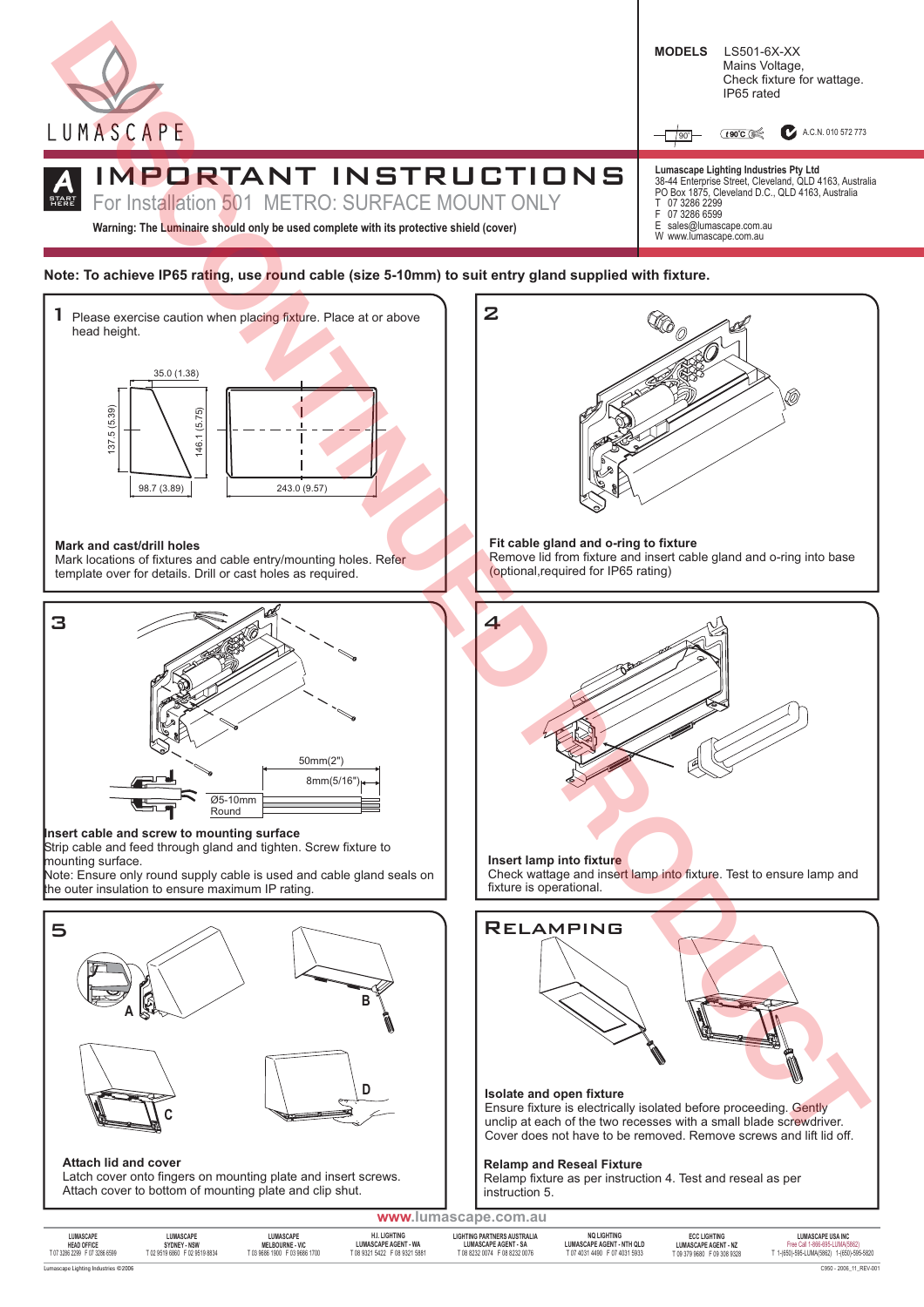

**Insert cable and screw to mounting surface**

Strip cable and feed through gland and tighten. Screw fixture to mounting surface.

Note: Ensure only round supply cable is used and cable gland seals on the outer insulation to ensure maximum IP rating.



**Attach lid and cover**

Latch cover onto fingers on mounting plate and insert screws. Attach cover to bottom of mounting plate and clip shut.

Relamping **Insert lamp into fixture** Check wattage and insert lamp into fixture. Test to ensure lamp and fixture is operational.

## **Isolate and open fixture**

Ensure fixture is electrically isolated before proceeding. Gently unclip at each of the two recesses with a small blade screwdriver. Cover does not have to be removed. Remove screws and lift lid off.

### **Relamp and Reseal Fixture**

Relamp fixture as per instruction 4. Test and reseal as per instruction 5.

| www.lumascape.com.au                                             |                                                            |                                                                      |                                                                                      |                                                                                                    |                                                                                  |                                                                             |                                                                                                         |
|------------------------------------------------------------------|------------------------------------------------------------|----------------------------------------------------------------------|--------------------------------------------------------------------------------------|----------------------------------------------------------------------------------------------------|----------------------------------------------------------------------------------|-----------------------------------------------------------------------------|---------------------------------------------------------------------------------------------------------|
| LUMASCAPE<br><b>HEAD OFFICE</b><br>T 07 3286 2299 F 07 3286 6599 | LUMASCAPE<br>SYDNEY - NSW<br>T 02 9519 6860 F 02 9519 8834 | LUMASCAPE<br><b>MELBOURNE - VIC</b><br>T 03 9686 1900 F 03 9686 1700 | <b>H.I. LIGHTING</b><br><b>LUMASCAPE AGENT - WA</b><br>T 08 9321 5422 F 08 9321 5881 | <b>LIGHTING PARTNERS AUSTRALIA</b><br><b>LUMASCAPE AGENT - SA</b><br>T 08 8232 0074 F 08 8232 0076 | <b>NO LIGHTING</b><br>LUMASCAPE AGENT - NTH QLD<br>T 07 4031 4490 F 07 4031 5933 | <b>ECC LIGHTING</b><br><b>LUMASCAPE AGENT - NZ</b><br>T093799680 F093089328 | <b>LUMASCAPE USA INC</b><br>Free Call 1-866-695-LUMA(5862)<br>T 1-(650)-595-LUMA(5862) 1-(650)-595-5820 |
| Lumascape Lighting Industries ©2006                              |                                                            |                                                                      |                                                                                      |                                                                                                    |                                                                                  |                                                                             | C950 - 2006_11_REV-001                                                                                  |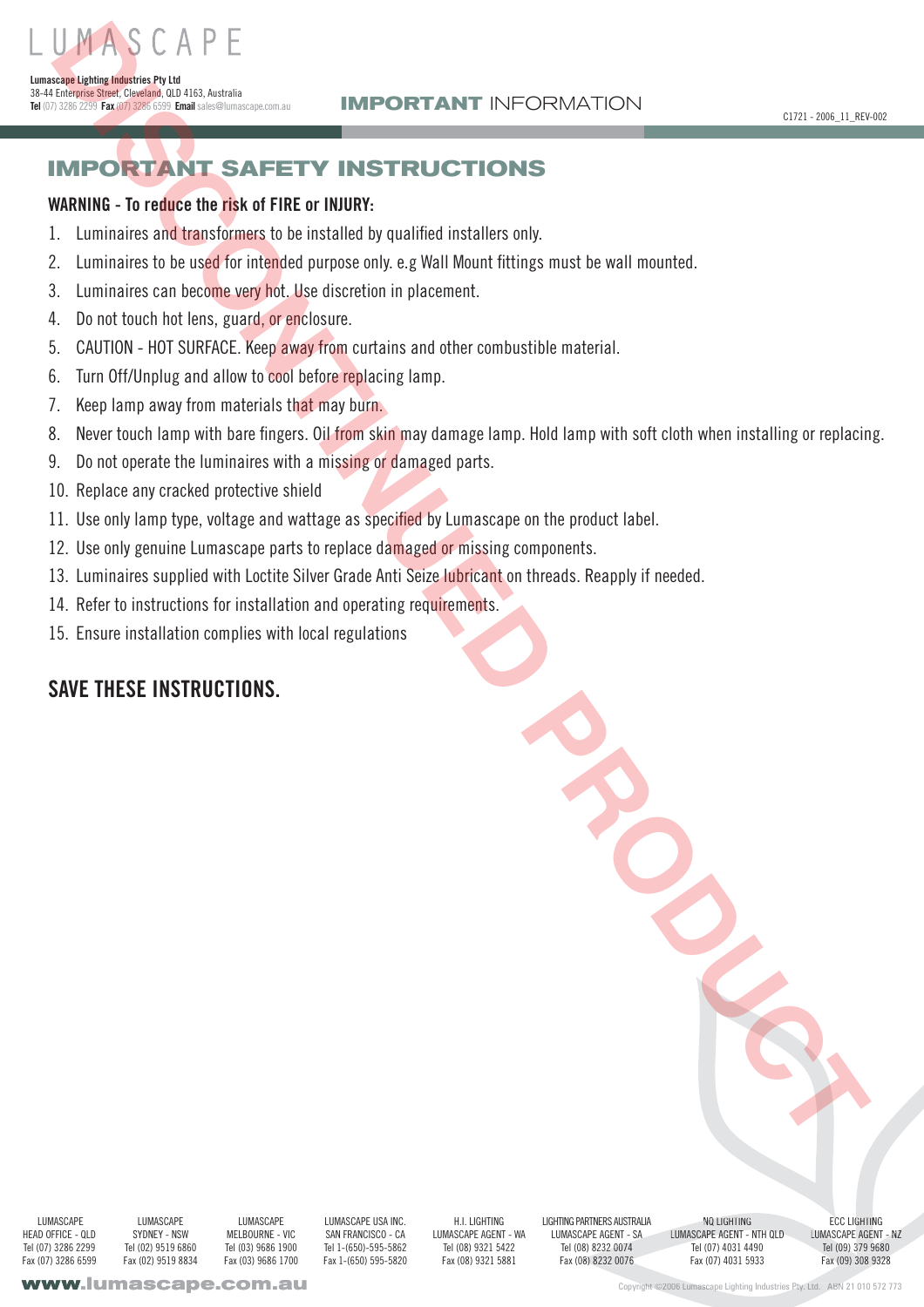# **IMPORTANT SAFETY INSTRUCTIONS** UMPLACE CAPE<br> **IMPORTANT SAFETY INSTRUCTIONS**<br>
MARINE - To reduce the disk of FRE or HUBBY:<br>
Leadvisor of the disk of FRE or HUBBY:<br>
Leadvisor of the reduction of the reduction of the state of the state of the state of the

# **WARNING - To reduce the risk of FIRE or INJURY:**

**Lumascape Lighting Industries Pty Ltd**

38-44 Enterprise Street, Cleveland, QLD 4163, Australia **Tel** (07) 3286 2299 **Fax**(07) 3286 6599 **Email**sales@lumascape.com.au

- 1. Luminaires and transformers to be installed by qualified installers only.
- Luminaires to be used for intended purpose only. e.g Wall Mount fittings must be wall mounted. 2.
- Luminaires can become very hot. Use discretion in placement. 3.
- Do not touch hot lens, guard, or enclosure. 4.
- 5. CAUTION HOT SURFACE. Keep away from curtains and other combustible material.
- 6. Turn Off/Unplug and allow to cool before replacing lamp.
- Keep lamp away from materials that may burn. 7.
- Never touch lamp with bare fingers. Oil from skin may damage lamp. Hold lamp with soft cloth when installing or replacing. 8.
- Do not operate the luminaires with a missing or damaged parts. 9.
- 10. Replace any cracked protective shield
- 11. Use only lamp type, voltage and wattage as specified by Lumascape on the product label.
- 12. Use only genuine Lumascape parts to replace damaged or missing components.
- 13. Luminaires supplied with Loctite Silver Grade Anti Seize lubricant on threads. Reapply if needed.
- 14. Refer to instructions for installation and operating requirements.
- 15. Ensure installation complies with local regulations

# **SAVE THESE INSTRUCTIONS.**

**LUMASCAPE** HEAD OFFICE - QLD Tel (07) 3286 2299 Fax (07) 3286 6599

LUMASCAPE SYDNEY - NSW Tel (02) 9519 6860 Fax (02) 9519 8834

**LUMASCAPE** MELBOURNE - VIC Tel (03) 9686 1900 Fax (03) 9686 1700

LUMASCAPE USA INC. SAN FRANCISCO - CA Tel 1-(650)-595-5862 Fax 1-(650) 595-5820

H.I. LIGHTING LUMASCAPE AGENT - WA Tel (08) 9321 5422 Fax (08) 9321 5881

LIGHTING PARTNERS AUSTRALIA LUMASCAPE AGENT - SA Tel (08) 8232 0074 Fax (08) 8232 0076

NQ LIGHTING LUMASCAPE AGENT - NTH QLD Tel (07) 4031 4490 Fax (07) 4031 5933 A232 08) GHTIN

ECC LIGHTING LUMASCAPE AGENT - NZ Tel (09) 379 9680 Fax (09) 308 9328

Copyright ©2006 Lumascape Lighting Industries Pty. Ltd. ABN 21 010 572 773